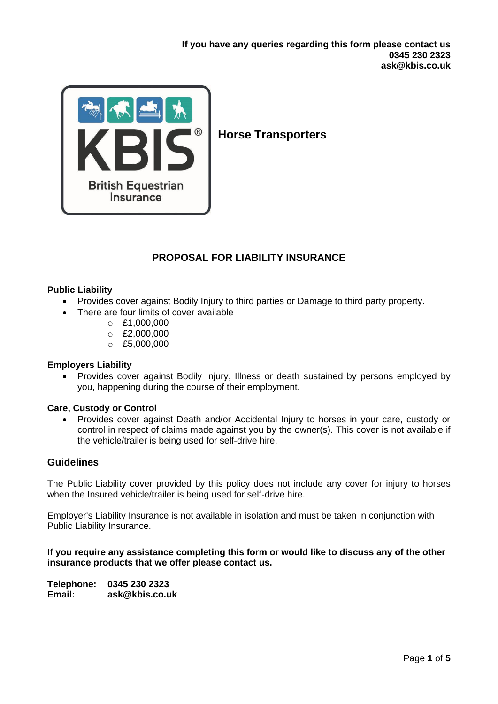

# **Horse Transporters**

# **PROPOSAL FOR LIABILITY INSURANCE**

## **Public Liability**

- Provides cover against Bodily Injury to third parties or Damage to third party property.
- There are four limits of cover available
	- $O$  £1,000,000
	- $O E2,000,000$
	- o £5,000,000

### **Employers Liability**

• Provides cover against Bodily Injury, Illness or death sustained by persons employed by you, happening during the course of their employment.

### **Care, Custody or Control**

• Provides cover against Death and/or Accidental Injury to horses in your care, custody or control in respect of claims made against you by the owner(s). This cover is not available if the vehicle/trailer is being used for self-drive hire.

## **Guidelines**

The Public Liability cover provided by this policy does not include any cover for injury to horses when the Insured vehicle/trailer is being used for self-drive hire.

Employer's Liability Insurance is not available in isolation and must be taken in conjunction with Public Liability Insurance.

### **If you require any assistance completing this form or would like to discuss any of the other insurance products that we offer please contact us.**

**Telephone: 0345 230 2323 Email: ask@kbis.co.uk**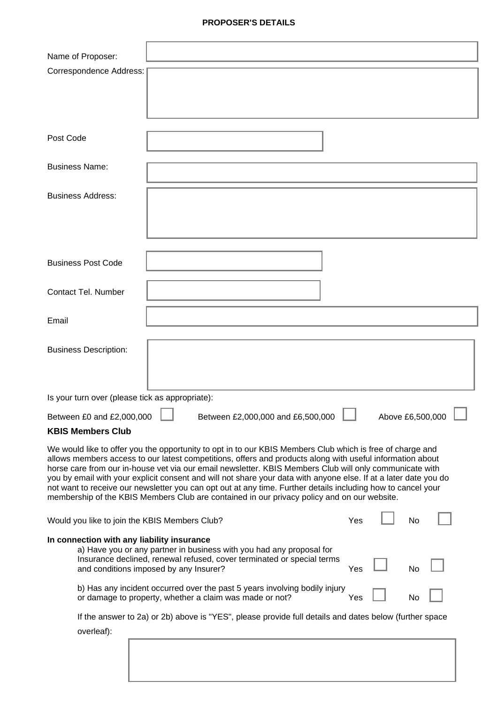### **PROPOSER'S DETAILS**

| Name of Proposer:                                                                                                                                                                                                           |  |                                   |  |     |                  |           |  |
|-----------------------------------------------------------------------------------------------------------------------------------------------------------------------------------------------------------------------------|--|-----------------------------------|--|-----|------------------|-----------|--|
| <b>Correspondence Address:</b>                                                                                                                                                                                              |  |                                   |  |     |                  |           |  |
|                                                                                                                                                                                                                             |  |                                   |  |     |                  |           |  |
|                                                                                                                                                                                                                             |  |                                   |  |     |                  |           |  |
| Post Code                                                                                                                                                                                                                   |  |                                   |  |     |                  |           |  |
|                                                                                                                                                                                                                             |  |                                   |  |     |                  |           |  |
| <b>Business Name:</b>                                                                                                                                                                                                       |  |                                   |  |     |                  |           |  |
| <b>Business Address:</b>                                                                                                                                                                                                    |  |                                   |  |     |                  |           |  |
|                                                                                                                                                                                                                             |  |                                   |  |     |                  |           |  |
|                                                                                                                                                                                                                             |  |                                   |  |     |                  |           |  |
|                                                                                                                                                                                                                             |  |                                   |  |     |                  |           |  |
| <b>Business Post Code</b>                                                                                                                                                                                                   |  |                                   |  |     |                  |           |  |
| <b>Contact Tel. Number</b>                                                                                                                                                                                                  |  |                                   |  |     |                  |           |  |
|                                                                                                                                                                                                                             |  |                                   |  |     |                  |           |  |
| Email                                                                                                                                                                                                                       |  |                                   |  |     |                  |           |  |
| <b>Business Description:</b>                                                                                                                                                                                                |  |                                   |  |     |                  |           |  |
|                                                                                                                                                                                                                             |  |                                   |  |     |                  |           |  |
|                                                                                                                                                                                                                             |  |                                   |  |     |                  |           |  |
| Is your turn over (please tick as appropriate):                                                                                                                                                                             |  |                                   |  |     |                  |           |  |
| Between £0 and £2,000,000                                                                                                                                                                                                   |  | Between £2,000,000 and £6,500,000 |  |     | Above £6,500,000 |           |  |
| <b>KBIS Members Club</b>                                                                                                                                                                                                    |  |                                   |  |     |                  |           |  |
| We would like to offer you the opportunity to opt in to our KBIS Members Club which is free of charge and<br>allows members access to our latest competitions, offers and products along with useful information about      |  |                                   |  |     |                  |           |  |
| horse care from our in-house vet via our email newsletter. KBIS Members Club will only communicate with<br>you by email with your explicit consent and will not share your data with anyone else. If at a later date you do |  |                                   |  |     |                  |           |  |
| not want to receive our newsletter you can opt out at any time. Further details including how to cancel your<br>membership of the KBIS Members Club are contained in our privacy policy and on our website.                 |  |                                   |  |     |                  |           |  |
|                                                                                                                                                                                                                             |  |                                   |  |     |                  |           |  |
| Would you like to join the KBIS Members Club?                                                                                                                                                                               |  |                                   |  | Yes |                  | <b>No</b> |  |
| In connection with any liability insurance<br>a) Have you or any partner in business with you had any proposal for                                                                                                          |  |                                   |  |     |                  |           |  |
| Insurance declined, renewal refused, cover terminated or special terms<br>and conditions imposed by any Insurer?                                                                                                            |  |                                   |  | Yes |                  | No        |  |
| b) Has any incident occurred over the past 5 years involving bodily injury<br>or damage to property, whether a claim was made or not?                                                                                       |  |                                   |  | Yes |                  | No        |  |
| If the answer to 2a) or 2b) above is "YES", please provide full details and dates below (further space                                                                                                                      |  |                                   |  |     |                  |           |  |
| overleaf):                                                                                                                                                                                                                  |  |                                   |  |     |                  |           |  |
|                                                                                                                                                                                                                             |  |                                   |  |     |                  |           |  |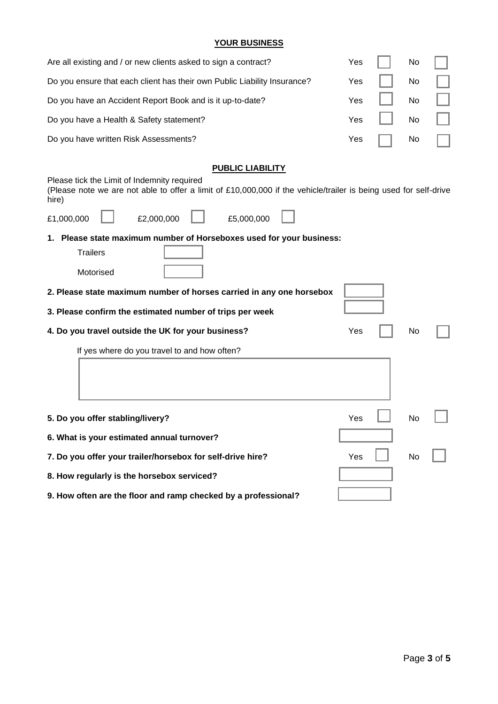### **YOUR BUSINESS**

| Are all existing and / or new clients asked to sign a contract?          | Yes $\vert \vert$ No $\vert \vert$ |  |
|--------------------------------------------------------------------------|------------------------------------|--|
| Do you ensure that each client has their own Public Liability Insurance? | Yes $\vert \vert$ No $\vert \vert$ |  |
| Do you have an Accident Report Book and is it up-to-date?                | Yes $\vert \vert$ No $\vert \vert$ |  |
| Do you have a Health & Safety statement?                                 | Yes $\vert \vert$ No $\vert \vert$ |  |
| Do you have written Risk Assessments?                                    | Yes $\Box$ No $\Box$               |  |

# **PUBLIC LIABILITY**

Please tick the Limit of Indemnity required

(Please note we are not able to offer a limit of £10,000,000 if the vehicle/trailer is being used for self-drive hire)

| £1,000,000 | £2,000,000 |  |
|------------|------------|--|
|            |            |  |

£5,000,000

**1. Please state maximum number of Horseboxes used for your business:**

| rrallers  |  |
|-----------|--|
| Motorised |  |

Trailers

- **3. Please confirm the estimated number of trips per week**
- **4. Do you travel outside the UK for your business?** The Messangle of the Ves No

If yes where do you travel to and how often?

| 5. Do you offer stabling/livery?                               | Yes | No |  |
|----------------------------------------------------------------|-----|----|--|
| 6. What is your estimated annual turnover?                     |     |    |  |
| 7. Do you offer your trailer/horsebox for self-drive hire?     | Yes | No |  |
| 8. How regularly is the horsebox serviced?                     |     |    |  |
| 9. How often are the floor and ramp checked by a professional? |     |    |  |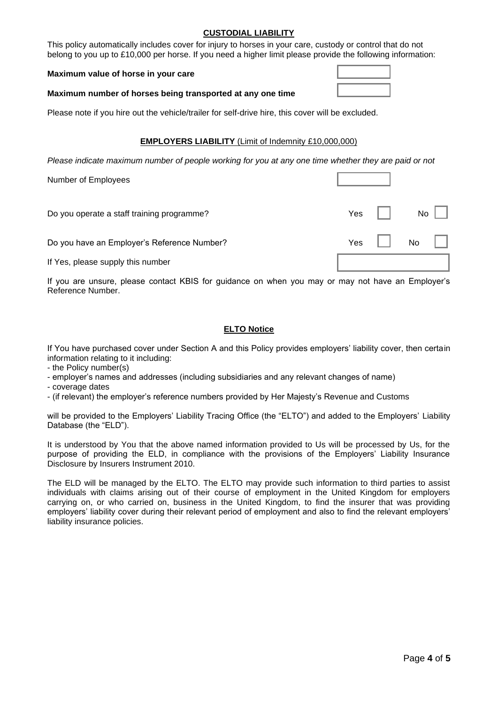### **CUSTODIAL LIABILITY**

This policy automatically includes cover for injury to horses in your care, custody or control that do not belong to you up to £10,000 per horse. If you need a higher limit please provide the following information:

#### **Maximum value of horse in your care**

### **Maximum number of horses being transported at any one time**

Please note if you hire out the vehicle/trailer for self-drive hire, this cover will be excluded.

### **EMPLOYERS LIABILITY** (Limit of Indemnity £10,000,000)

*Please indicate maximum number of people working for you at any one time whether they are paid or not*

| Number of Employees                         |     |      |
|---------------------------------------------|-----|------|
| Do you operate a staff training programme?  | Yes | No   |
| Do you have an Employer's Reference Number? | Yes | No r |
| If Yes, please supply this number           |     |      |

If you are unsure, please contact KBIS for guidance on when you may or may not have an Employer's Reference Number.

### **ELTO Notice**

If You have purchased cover under Section A and this Policy provides employers' liability cover, then certain information relating to it including:

- the Policy number(s)
- employer's names and addresses (including subsidiaries and any relevant changes of name)
- coverage dates
- (if relevant) the employer's reference numbers provided by Her Majesty's Revenue and Customs

will be provided to the Employers' Liability Tracing Office (the "ELTO") and added to the Employers' Liability Database (the "ELD").

It is understood by You that the above named information provided to Us will be processed by Us, for the purpose of providing the ELD, in compliance with the provisions of the Employers' Liability Insurance Disclosure by Insurers Instrument 2010.

The ELD will be managed by the ELTO. The ELTO may provide such information to third parties to assist individuals with claims arising out of their course of employment in the United Kingdom for employers carrying on, or who carried on, business in the United Kingdom, to find the insurer that was providing employers' liability cover during their relevant period of employment and also to find the relevant employers' liability insurance policies.